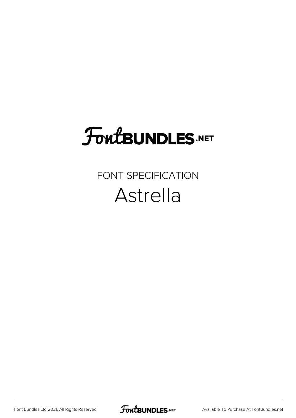## **FoutBUNDLES.NET**

#### FONT SPECIFICATION Astrella

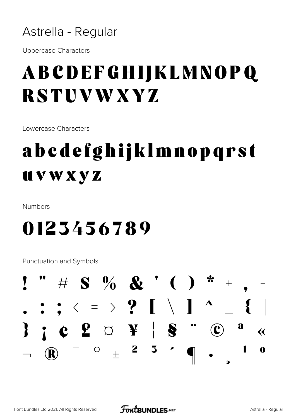

**Uppercase Characters** 

#### **ABCDEFGHIJKLMNOPQ RSTUVWXYZ**

Lowercase Characters

### abcdefghijklmnopqrst **UVWXYZ**

Numbers

#### 0123456789

**Punctuation and Symbols** 

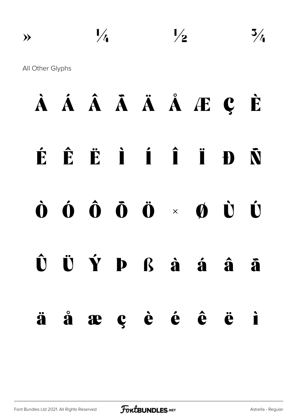$\nu_4$   $\nu_2$   $\nu_3$ All Other Glyphs À Á Â Ã Ä Å Æ Ç È É Ê Ë Ì Í Î Ï Ð Ñ Ò Ó Ô Õ Ö × Ø Ù Ú  $\hat{\mathbf{U}}$   $\ddot{\mathbf{U}}$   $\dot{\mathbf{Y}}$   $\mathbf{D}$   $\mathbf{K}$   $\dot{\mathbf{a}}$   $\dot{\mathbf{a}}$   $\dot{\mathbf{a}}$   $\ddot{\mathbf{a}}$ 

ä å æ ç è é ê ë ì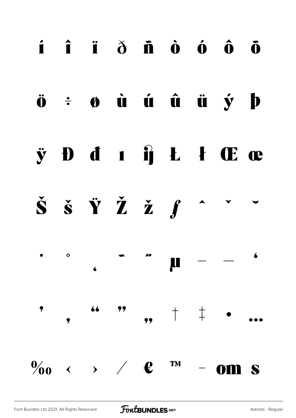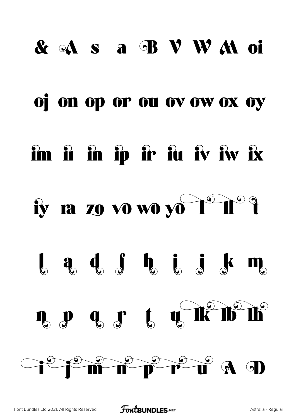